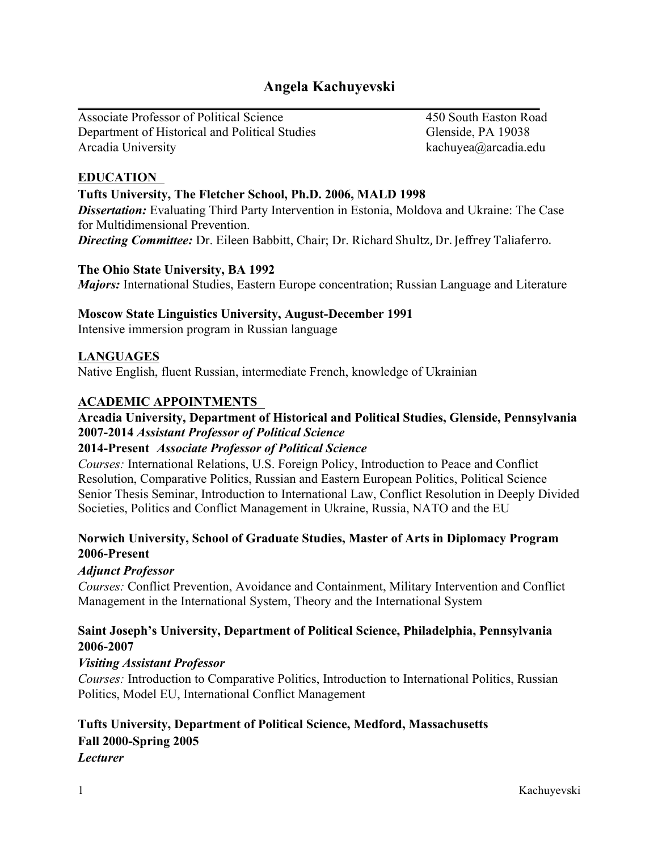# **Angela Kachuyevski**

Associate Professor of Political Science 450 South Easton Road Department of Historical and Political Studies Glenside, PA 19038 Arcadia University **Kachuyea** (a) a kachuyea (a) arcadia.edu

# **EDUCATION**

### **Tufts University, The Fletcher School, Ph.D. 2006, MALD 1998**

**Dissertation:** Evaluating Third Party Intervention in Estonia, Moldova and Ukraine: The Case for Multidimensional Prevention. **Directing Committee:** Dr. Eileen Babbitt, Chair; Dr. Richard Shultz, Dr. Jeffrey Taliaferro.

### **The Ohio State University, BA 1992**

*Majors:* International Studies, Eastern Europe concentration; Russian Language and Literature

### **Moscow State Linguistics University, August-December 1991**

Intensive immersion program in Russian language

### **LANGUAGES**

Native English, fluent Russian, intermediate French, knowledge of Ukrainian

# **ACADEMIC APPOINTMENTS**

# **Arcadia University, Department of Historical and Political Studies, Glenside, Pennsylvania 2007-2014** *Assistant Professor of Political Science*

# **2014-Present** *Associate Professor of Political Science*

*Courses:* International Relations, U.S. Foreign Policy, Introduction to Peace and Conflict Resolution, Comparative Politics, Russian and Eastern European Politics, Political Science Senior Thesis Seminar, Introduction to International Law, Conflict Resolution in Deeply Divided Societies, Politics and Conflict Management in Ukraine, Russia, NATO and the EU

# **Norwich University, School of Graduate Studies, Master of Arts in Diplomacy Program 2006-Present**

### *Adjunct Professor*

*Courses:* Conflict Prevention, Avoidance and Containment, Military Intervention and Conflict Management in the International System, Theory and the International System

### **Saint Joseph's University, Department of Political Science, Philadelphia, Pennsylvania 2006-2007**

# *Visiting Assistant Professor*

*Courses:* Introduction to Comparative Politics, Introduction to International Politics, Russian Politics, Model EU, International Conflict Management

# **Tufts University, Department of Political Science, Medford, Massachusetts Fall 2000-Spring 2005** *Lecturer*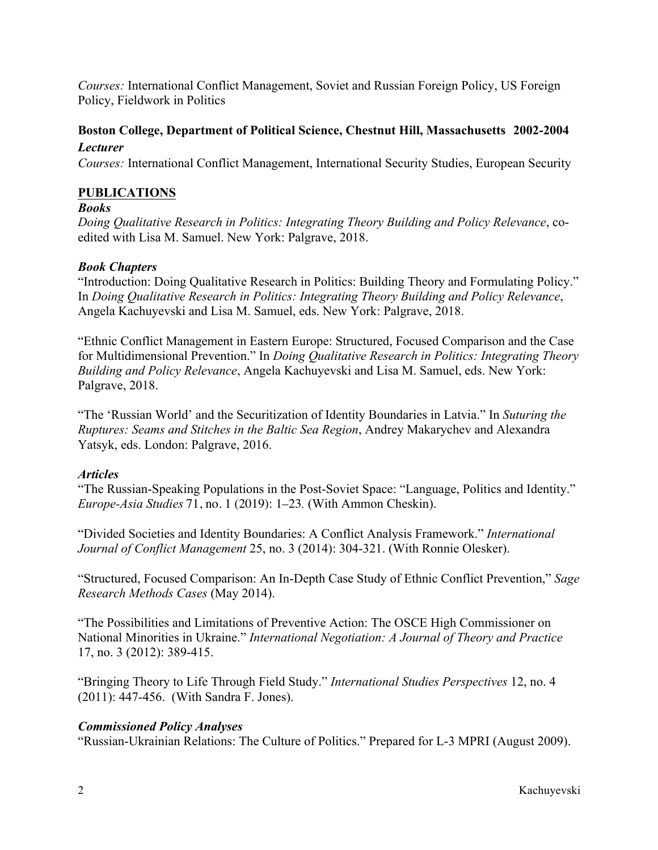*Courses:* International Conflict Management, Soviet and Russian Foreign Policy, US Foreign Policy, Fieldwork in Politics

# **Boston College, Department of Political Science, Chestnut Hill, Massachusetts 2002-2004** *Lecturer*

*Courses:* International Conflict Management, International Security Studies, European Security

### **PUBLICATIONS**

### *Books*

*Doing Qualitative Research in Politics: Integrating Theory Building and Policy Relevance*, coedited with Lisa M. Samuel. New York: Palgrave, 2018.

### *Book Chapters*

"Introduction: Doing Qualitative Research in Politics: Building Theory and Formulating Policy." In *Doing Qualitative Research in Politics: Integrating Theory Building and Policy Relevance*, Angela Kachuyevski and Lisa M. Samuel, eds. New York: Palgrave, 2018.

"Ethnic Conflict Management in Eastern Europe: Structured, Focused Comparison and the Case for Multidimensional Prevention." In *Doing Qualitative Research in Politics: Integrating Theory Building and Policy Relevance*, Angela Kachuyevski and Lisa M. Samuel, eds. New York: Palgrave, 2018.

"The 'Russian World' and the Securitization of Identity Boundaries in Latvia." In *Suturing the Ruptures: Seams and Stitches in the Baltic Sea Region*, Andrey Makarychev and Alexandra Yatsyk, eds. London: Palgrave, 2016.

### *Articles*

"The Russian-Speaking Populations in the Post-Soviet Space: "Language, Politics and Identity." *Europe-Asia Studies* 71, no. 1 (2019): 1–23*.* (With Ammon Cheskin).

"Divided Societies and Identity Boundaries: A Conflict Analysis Framework." *International Journal of Conflict Management* 25, no. 3 (2014): 304-321. (With Ronnie Olesker).

"Structured, Focused Comparison: An In-Depth Case Study of Ethnic Conflict Prevention," *Sage Research Methods Cases* (May 2014).

"The Possibilities and Limitations of Preventive Action: The OSCE High Commissioner on National Minorities in Ukraine." *International Negotiation: A Journal of Theory and Practice* 17, no. 3 (2012): 389-415.

"Bringing Theory to Life Through Field Study." *International Studies Perspectives* 12, no. 4 (2011): 447-456. (With Sandra F. Jones).

### *Commissioned Policy Analyses*

"Russian-Ukrainian Relations: The Culture of Politics." Prepared for L-3 MPRI (August 2009).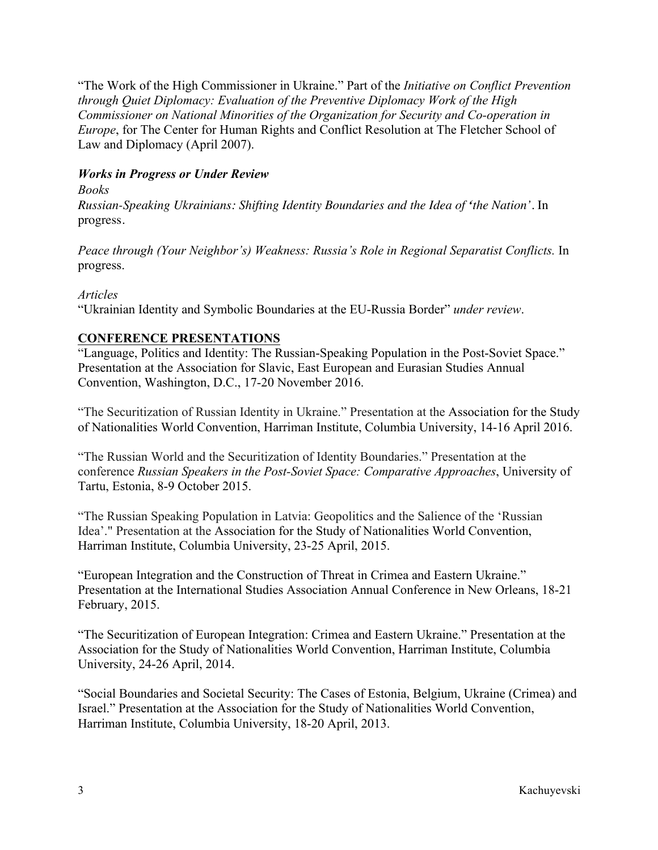"The Work of the High Commissioner in Ukraine." Part of the *Initiative on Conflict Prevention through Quiet Diplomacy: Evaluation of the Preventive Diplomacy Work of the High Commissioner on National Minorities of the Organization for Security and Co-operation in Europe*, for The Center for Human Rights and Conflict Resolution at The Fletcher School of Law and Diplomacy (April 2007).

# *Works in Progress or Under Review*

*Books Russian-Speaking Ukrainians: Shifting Identity Boundaries and the Idea of 'the Nation'*. In progress.

*Peace through (Your Neighbor's) Weakness: Russia's Role in Regional Separatist Conflicts.* In progress.

### *Articles*

"Ukrainian Identity and Symbolic Boundaries at the EU-Russia Border" *under review*.

# **CONFERENCE PRESENTATIONS**

"Language, Politics and Identity: The Russian-Speaking Population in the Post-Soviet Space." Presentation at the Association for Slavic, East European and Eurasian Studies Annual Convention, Washington, D.C., 17-20 November 2016.

"The Securitization of Russian Identity in Ukraine." Presentation at the Association for the Study of Nationalities World Convention, Harriman Institute, Columbia University, 14-16 April 2016.

"The Russian World and the Securitization of Identity Boundaries." Presentation at the conference *Russian Speakers in the Post-Soviet Space: Comparative Approaches*, University of Tartu, Estonia, 8-9 October 2015.

"The Russian Speaking Population in Latvia: Geopolitics and the Salience of the 'Russian Idea'." Presentation at the Association for the Study of Nationalities World Convention, Harriman Institute, Columbia University, 23-25 April, 2015.

"European Integration and the Construction of Threat in Crimea and Eastern Ukraine." Presentation at the International Studies Association Annual Conference in New Orleans, 18-21 February, 2015.

"The Securitization of European Integration: Crimea and Eastern Ukraine." Presentation at the Association for the Study of Nationalities World Convention, Harriman Institute, Columbia University, 24-26 April, 2014.

"Social Boundaries and Societal Security: The Cases of Estonia, Belgium, Ukraine (Crimea) and Israel." Presentation at the Association for the Study of Nationalities World Convention, Harriman Institute, Columbia University, 18-20 April, 2013.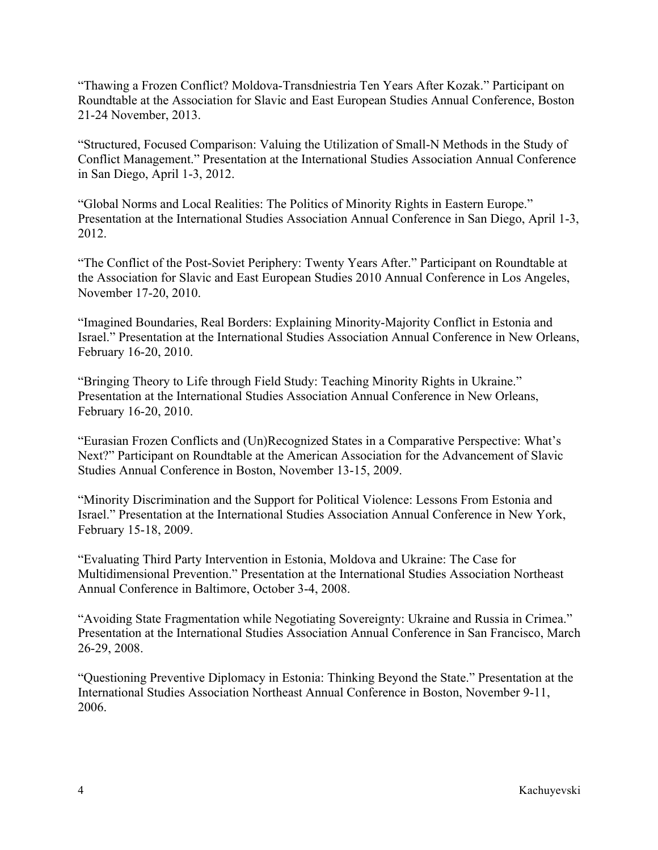"Thawing a Frozen Conflict? Moldova-Transdniestria Ten Years After Kozak." Participant on Roundtable at the Association for Slavic and East European Studies Annual Conference, Boston 21-24 November, 2013.

"Structured, Focused Comparison: Valuing the Utilization of Small-N Methods in the Study of Conflict Management." Presentation at the International Studies Association Annual Conference in San Diego, April 1-3, 2012.

"Global Norms and Local Realities: The Politics of Minority Rights in Eastern Europe." Presentation at the International Studies Association Annual Conference in San Diego, April 1-3, 2012.

"The Conflict of the Post-Soviet Periphery: Twenty Years After." Participant on Roundtable at the Association for Slavic and East European Studies 2010 Annual Conference in Los Angeles, November 17-20, 2010.

"Imagined Boundaries, Real Borders: Explaining Minority-Majority Conflict in Estonia and Israel." Presentation at the International Studies Association Annual Conference in New Orleans, February 16-20, 2010.

"Bringing Theory to Life through Field Study: Teaching Minority Rights in Ukraine." Presentation at the International Studies Association Annual Conference in New Orleans, February 16-20, 2010.

"Eurasian Frozen Conflicts and (Un)Recognized States in a Comparative Perspective: What's Next?" Participant on Roundtable at the American Association for the Advancement of Slavic Studies Annual Conference in Boston, November 13-15, 2009.

"Minority Discrimination and the Support for Political Violence: Lessons From Estonia and Israel." Presentation at the International Studies Association Annual Conference in New York, February 15-18, 2009.

"Evaluating Third Party Intervention in Estonia, Moldova and Ukraine: The Case for Multidimensional Prevention." Presentation at the International Studies Association Northeast Annual Conference in Baltimore, October 3-4, 2008.

"Avoiding State Fragmentation while Negotiating Sovereignty: Ukraine and Russia in Crimea." Presentation at the International Studies Association Annual Conference in San Francisco, March 26-29, 2008.

"Questioning Preventive Diplomacy in Estonia: Thinking Beyond the State." Presentation at the International Studies Association Northeast Annual Conference in Boston, November 9-11, 2006.